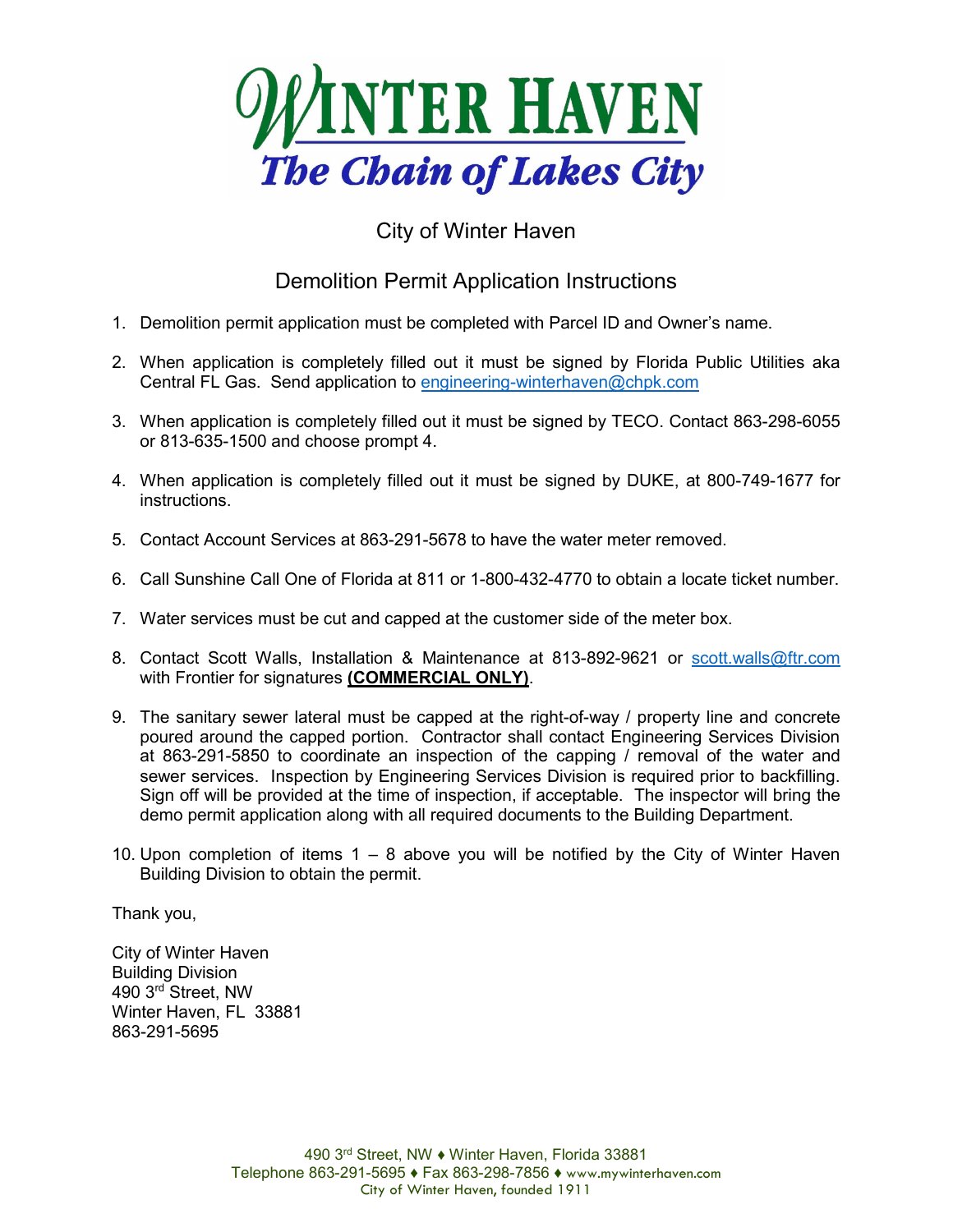

## City of Winter Haven

## Demolition Permit Application Instructions

- 1. Demolition permit application must be completed with Parcel ID and Owner's name.
- 2. When application is completely filled out it must be signed by Florida Public Utilities aka Central FL Gas. Send application to engineering-winterhaven@chpk.com
- 3. When application is completely filled out it must be signed by TECO. Contact 863-298-6055 or 813-635-1500 and choose prompt 4.
- 4. When application is completely filled out it must be signed by DUKE, at 800-749-1677 for instructions.
- 5. Contact Account Services at 863-291-5678 to have the water meter removed.
- 6. Call Sunshine Call One of Florida at 811 or 1-800-432-4770 to obtain a locate ticket number.
- 7. Water services must be cut and capped at the customer side of the meter box.
- 8. Contact Scott Walls, Installation & Maintenance at 813-892-9621 or scott.walls@ftr.com with Frontier for signatures **(COMMERCIAL ONLY)**.
- 9. The sanitary sewer lateral must be capped at the right-of-way / property line and concrete poured around the capped portion. Contractor shall contact Engineering Services Division at 863-291-5850 to coordinate an inspection of the capping / removal of the water and sewer services. Inspection by Engineering Services Division is required prior to backfilling. Sign off will be provided at the time of inspection, if acceptable. The inspector will bring the demo permit application along with all required documents to the Building Department.
- 10. Upon completion of items 1 8 above you will be notified by the City of Winter Haven Building Division to obtain the permit.

Thank you,

City of Winter Haven Building Division 490 3rd Street, NW Winter Haven, FL 33881 863-291-5695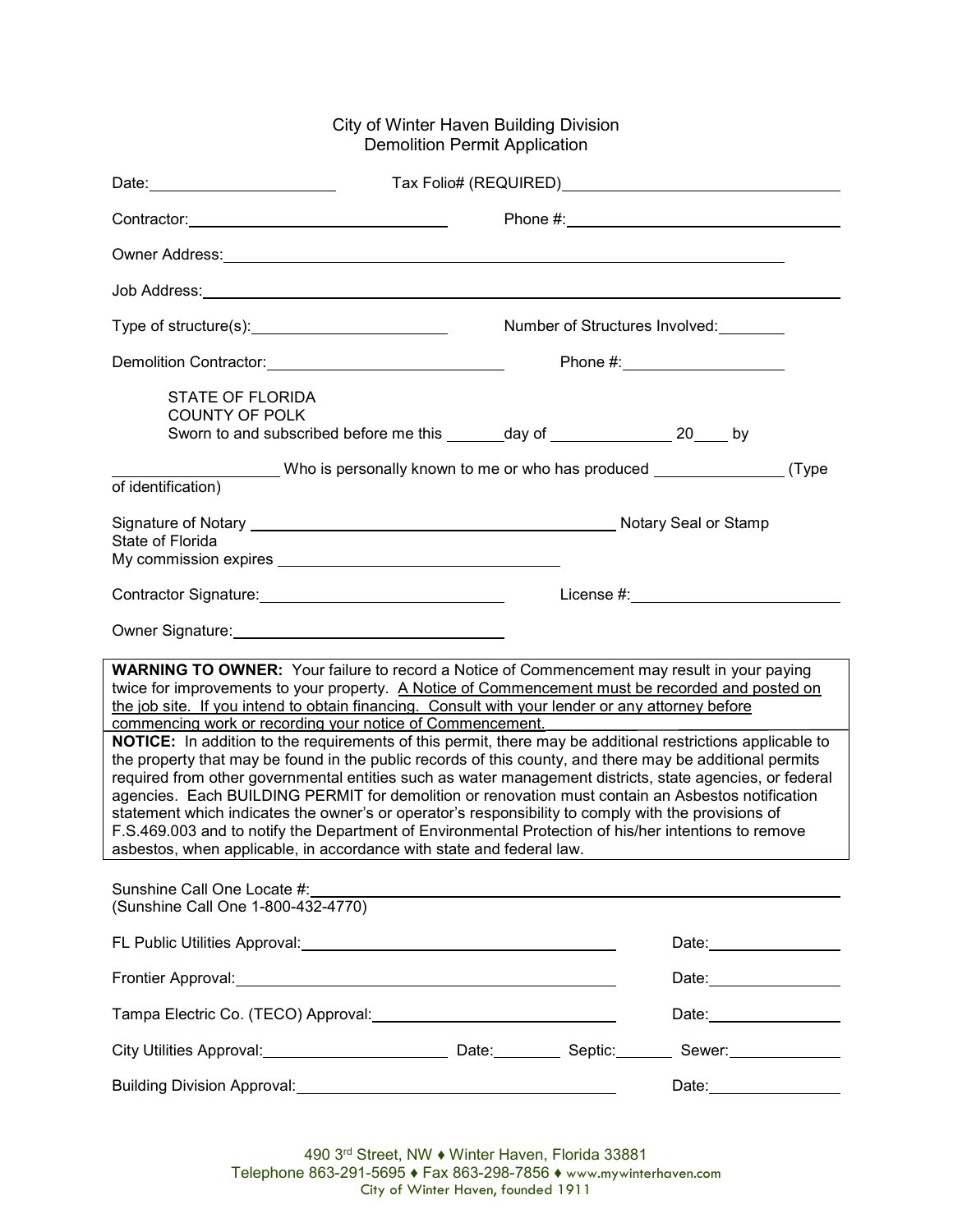## City of Winter Haven Building Division Demolition Permit Application

| Contractor: 2000 Contractor:                                                                                                                                                                                                                                                                                                                                                                                                                                                                                                                                                                                                                                                                                                                                                                                                                                                                                                                                                                                                                                                                              |                                                                                               |  |                                |  |
|-----------------------------------------------------------------------------------------------------------------------------------------------------------------------------------------------------------------------------------------------------------------------------------------------------------------------------------------------------------------------------------------------------------------------------------------------------------------------------------------------------------------------------------------------------------------------------------------------------------------------------------------------------------------------------------------------------------------------------------------------------------------------------------------------------------------------------------------------------------------------------------------------------------------------------------------------------------------------------------------------------------------------------------------------------------------------------------------------------------|-----------------------------------------------------------------------------------------------|--|--------------------------------|--|
|                                                                                                                                                                                                                                                                                                                                                                                                                                                                                                                                                                                                                                                                                                                                                                                                                                                                                                                                                                                                                                                                                                           |                                                                                               |  |                                |  |
|                                                                                                                                                                                                                                                                                                                                                                                                                                                                                                                                                                                                                                                                                                                                                                                                                                                                                                                                                                                                                                                                                                           |                                                                                               |  |                                |  |
|                                                                                                                                                                                                                                                                                                                                                                                                                                                                                                                                                                                                                                                                                                                                                                                                                                                                                                                                                                                                                                                                                                           |                                                                                               |  | Number of Structures Involved: |  |
|                                                                                                                                                                                                                                                                                                                                                                                                                                                                                                                                                                                                                                                                                                                                                                                                                                                                                                                                                                                                                                                                                                           | Demolition Contractor: ___________________________________<br>Phone #: ______________________ |  |                                |  |
| <b>STATE OF FLORIDA</b><br><b>COUNTY OF POLK</b><br>Sworn to and subscribed before me this _______ day of ________________ 20____ by                                                                                                                                                                                                                                                                                                                                                                                                                                                                                                                                                                                                                                                                                                                                                                                                                                                                                                                                                                      |                                                                                               |  |                                |  |
| ______ Who is personally known to me or who has produced _________________ (Type<br>of identification)                                                                                                                                                                                                                                                                                                                                                                                                                                                                                                                                                                                                                                                                                                                                                                                                                                                                                                                                                                                                    |                                                                                               |  |                                |  |
| State of Florida<br>Contractor Signature: ___________________________________                                                                                                                                                                                                                                                                                                                                                                                                                                                                                                                                                                                                                                                                                                                                                                                                                                                                                                                                                                                                                             |                                                                                               |  |                                |  |
| Owner Signature: <u>contained</u> and contained a series of the series of the series of the series of the series of the                                                                                                                                                                                                                                                                                                                                                                                                                                                                                                                                                                                                                                                                                                                                                                                                                                                                                                                                                                                   |                                                                                               |  |                                |  |
| <b>WARNING TO OWNER:</b> Your failure to record a Notice of Commencement may result in your paying<br>twice for improvements to your property. A Notice of Commencement must be recorded and posted on<br>the job site. If you intend to obtain financing. Consult with your lender or any attorney before<br>commencing work or recording your notice of Commencement.<br>NOTICE: In addition to the requirements of this permit, there may be additional restrictions applicable to<br>the property that may be found in the public records of this county, and there may be additional permits<br>required from other governmental entities such as water management districts, state agencies, or federal<br>agencies. Each BUILDING PERMIT for demolition or renovation must contain an Asbestos notification<br>statement which indicates the owner's or operator's responsibility to comply with the provisions of<br>F.S.469.003 and to notify the Department of Environmental Protection of his/her intentions to remove<br>asbestos, when applicable, in accordance with state and federal law. |                                                                                               |  |                                |  |
| (Sunshine Call One 1-800-432-4770)                                                                                                                                                                                                                                                                                                                                                                                                                                                                                                                                                                                                                                                                                                                                                                                                                                                                                                                                                                                                                                                                        |                                                                                               |  |                                |  |
|                                                                                                                                                                                                                                                                                                                                                                                                                                                                                                                                                                                                                                                                                                                                                                                                                                                                                                                                                                                                                                                                                                           |                                                                                               |  | Date: __________________       |  |
| Frontier Approval: <u>contract and a series of the series of the series of the series of the series of the series of the series of the series of the series of the series of the series of the series of the series of the serie</u>                                                                                                                                                                                                                                                                                                                                                                                                                                                                                                                                                                                                                                                                                                                                                                                                                                                                      |                                                                                               |  | Date: _________________        |  |
|                                                                                                                                                                                                                                                                                                                                                                                                                                                                                                                                                                                                                                                                                                                                                                                                                                                                                                                                                                                                                                                                                                           |                                                                                               |  |                                |  |
|                                                                                                                                                                                                                                                                                                                                                                                                                                                                                                                                                                                                                                                                                                                                                                                                                                                                                                                                                                                                                                                                                                           |                                                                                               |  |                                |  |
|                                                                                                                                                                                                                                                                                                                                                                                                                                                                                                                                                                                                                                                                                                                                                                                                                                                                                                                                                                                                                                                                                                           |                                                                                               |  | Date: _________________        |  |